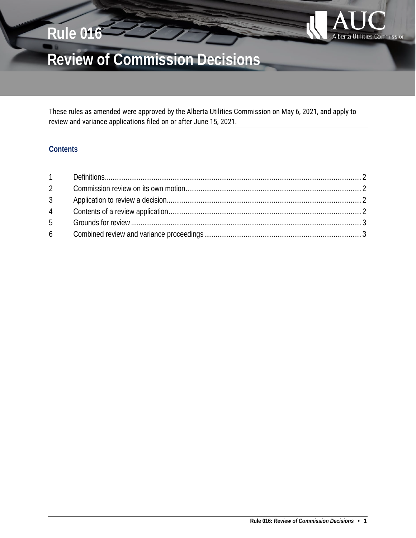

# **Review of Commission Decisions**

These rules as amended were approved by the Alberta Utilities Commission on May 6, 2021, and apply to review and variance applications filed on or after June 15, 2021.

# **Contents**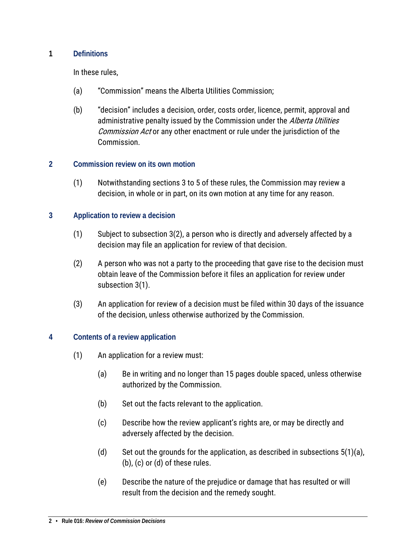## <span id="page-1-0"></span>**1 Definitions**

In these rules,

- (a) "Commission" means the Alberta Utilities Commission;
- (b) "decision" includes a decision, order, costs order, licence, permit, approval and administrative penalty issued by the Commission under the Alberta Utilities Commission Act or any other enactment or rule under the jurisdiction of the Commission.

#### <span id="page-1-1"></span>**2 Commission review on its own motion**

(1) Notwithstanding sections 3 to 5 of these rules, the Commission may review a decision, in whole or in part, on its own motion at any time for any reason.

#### <span id="page-1-2"></span>**3 Application to review a decision**

- (1) Subject to subsection 3(2), a person who is directly and adversely affected by a decision may file an application for review of that decision.
- (2) A person who was not a party to the proceeding that gave rise to the decision must obtain leave of the Commission before it files an application for review under subsection 3(1).
- (3) An application for review of a decision must be filed within 30 days of the issuance of the decision, unless otherwise authorized by the Commission.

## <span id="page-1-3"></span>**4 Contents of a review application**

- (1) An application for a review must:
	- (a) Be in writing and no longer than 15 pages double spaced, unless otherwise authorized by the Commission.
	- (b) Set out the facts relevant to the application.
	- (c) Describe how the review applicant's rights are, or may be directly and adversely affected by the decision.
	- (d) Set out the grounds for the application, as described in subsections  $5(1)(a)$ , (b), (c) or (d) of these rules.
	- (e) Describe the nature of the prejudice or damage that has resulted or will result from the decision and the remedy sought.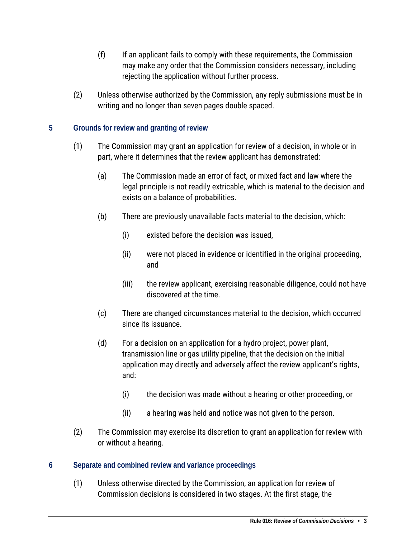- (f) If an applicant fails to comply with these requirements, the Commission may make any order that the Commission considers necessary, including rejecting the application without further process.
- (2) Unless otherwise authorized by the Commission, any reply submissions must be in writing and no longer than seven pages double spaced.

# <span id="page-2-0"></span>**5 Grounds for review and granting of review**

- (1) The Commission may grant an application for review of a decision, in whole or in part, where it determines that the review applicant has demonstrated:
	- (a) The Commission made an error of fact, or mixed fact and law where the legal principle is not readily extricable, which is material to the decision and exists on a balance of probabilities.
	- (b) There are previously unavailable facts material to the decision, which:
		- (i) existed before the decision was issued,
		- (ii) were not placed in evidence or identified in the original proceeding, and
		- (iii) the review applicant, exercising reasonable diligence, could not have discovered at the time.
	- (c) There are changed circumstances material to the decision, which occurred since its issuance.
	- (d) For a decision on an application for a hydro project, power plant, transmission line or gas utility pipeline, that the decision on the initial application may directly and adversely affect the review applicant's rights, and:
		- (i) the decision was made without a hearing or other proceeding, or
		- (ii) a hearing was held and notice was not given to the person.
- (2) The Commission may exercise its discretion to grant an application for review with or without a hearing.

## <span id="page-2-1"></span>**6 Separate and combined review and variance proceedings**

(1) Unless otherwise directed by the Commission, an application for review of Commission decisions is considered in two stages. At the first stage, the